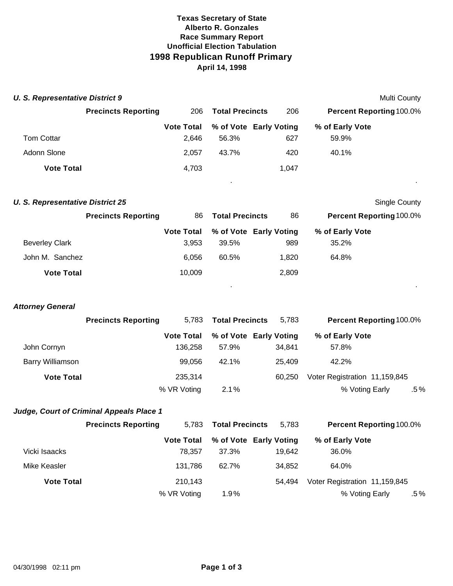### **Texas Secretary of State Alberto R. Gonzales Race Summary Report Unofficial Election Tabulation 1998 Republican Runoff Primary April 14, 1998**

| <b>U. S. Representative District 9</b> |                            |                   |                        |  |       | <b>Multi County</b>             |  |
|----------------------------------------|----------------------------|-------------------|------------------------|--|-------|---------------------------------|--|
|                                        | <b>Precincts Reporting</b> | 206               | <b>Total Precincts</b> |  | 206   | <b>Percent Reporting 100.0%</b> |  |
|                                        |                            | <b>Vote Total</b> | % of Vote Early Voting |  |       | % of Early Vote                 |  |
| <b>Tom Cottar</b>                      |                            | 2.646             | 56.3%                  |  | 627   | 59.9%                           |  |
| Adonn Slone                            |                            | 2.057             | 43.7%                  |  | 420   | 40.1%                           |  |
| <b>Vote Total</b>                      |                            | 4,703             |                        |  | 1,047 |                                 |  |

. .

. .

#### **U. S. Representative District 25** Single County

|                       | <b>Precincts Reporting</b> | <b>Total Precincts</b><br>86 |       | 86                     | <b>Percent Reporting 100.0%</b> |  |
|-----------------------|----------------------------|------------------------------|-------|------------------------|---------------------------------|--|
|                       |                            | <b>Vote Total</b>            |       | % of Vote Early Voting | % of Early Vote                 |  |
| <b>Beverley Clark</b> |                            | 3.953                        | 39.5% | 989                    | 35.2%                           |  |
| John M. Sanchez       |                            | 6.056                        | 60.5% | 1.820                  | 64.8%                           |  |
| <b>Vote Total</b>     |                            | 10,009                       |       | 2,809                  |                                 |  |

#### *Attorney General*

|                   | <b>Precincts Reporting</b> | <b>Total Precincts</b><br>5.783 |         | 5.783                  | <b>Percent Reporting 100.0%</b> |     |  |
|-------------------|----------------------------|---------------------------------|---------|------------------------|---------------------------------|-----|--|
|                   |                            | <b>Vote Total</b>               |         | % of Vote Early Voting | % of Early Vote                 |     |  |
| John Cornyn       |                            | 136.258                         | 57.9%   | 34.841                 | 57.8%                           |     |  |
| Barry Williamson  |                            | 99.056                          | 42.1%   | 25.409                 | 42.2%                           |     |  |
| <b>Vote Total</b> |                            | 235.314                         |         | 60.250                 | Voter Registration 11,159,845   |     |  |
|                   |                            | % VR Voting                     | $2.1\%$ |                        | % Voting Early                  | .5% |  |

## *Judge, Court of Criminal Appeals Place 1*

|                   | <b>Precincts Reporting</b> | 5.783             | <b>Total Precincts</b> | 5.783                  | <b>Percent Reporting 100.0%</b> |  |  |
|-------------------|----------------------------|-------------------|------------------------|------------------------|---------------------------------|--|--|
|                   |                            | <b>Vote Total</b> |                        | % of Vote Early Voting | % of Early Vote                 |  |  |
| Vicki Isaacks     |                            | 78.357            | 37.3%                  | 19.642                 | 36.0%                           |  |  |
| Mike Keasler      |                            | 131,786           | 62.7%                  | 34.852                 | 64.0%                           |  |  |
| <b>Vote Total</b> |                            | 210.143           |                        | 54.494                 | Voter Registration 11,159,845   |  |  |
|                   |                            | % VR Voting       | $1.9\%$                |                        | % Voting Early<br>$.5\%$        |  |  |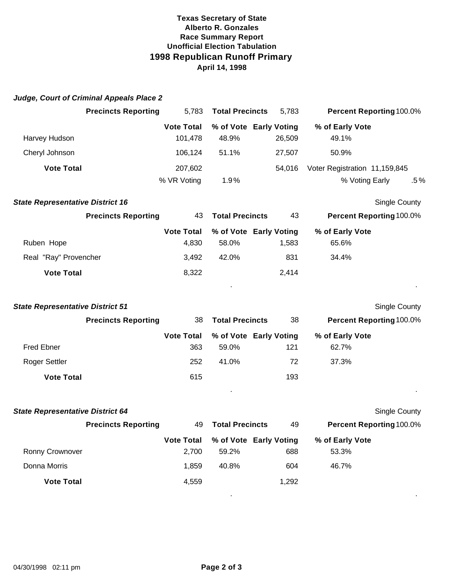## **Texas Secretary of State Alberto R. Gonzales Race Summary Report Unofficial Election Tabulation 1998 Republican Runoff Primary April 14, 1998**

|                                         | Judge, Court of Criminal Appeals Place 2 |                              |                                 |        |                               |                          |
|-----------------------------------------|------------------------------------------|------------------------------|---------------------------------|--------|-------------------------------|--------------------------|
| <b>Precincts Reporting</b>              |                                          | 5,783                        | <b>Total Precincts</b>          | 5,783  |                               | Percent Reporting 100.0% |
| Harvey Hudson                           |                                          | <b>Vote Total</b><br>101,478 | % of Vote Early Voting<br>48.9% | 26,509 | % of Early Vote<br>49.1%      |                          |
| Cheryl Johnson                          |                                          | 106,124                      | 51.1%                           | 27,507 | 50.9%                         |                          |
| <b>Vote Total</b>                       |                                          | 207,602                      |                                 | 54,016 | Voter Registration 11,159,845 |                          |
|                                         |                                          | % VR Voting                  | 1.9%                            |        | % Voting Early                | $.5\%$                   |
| <b>State Representative District 16</b> |                                          |                              |                                 |        |                               | Single County            |
|                                         | <b>Precincts Reporting</b>               | 43                           | <b>Total Precincts</b>          | 43     |                               | Percent Reporting 100.0% |
| Ruben Hope                              |                                          | <b>Vote Total</b><br>4,830   | % of Vote Early Voting<br>58.0% | 1,583  | % of Early Vote<br>65.6%      |                          |
| Real "Ray" Provencher                   |                                          | 3,492                        | 42.0%                           | 831    | 34.4%                         |                          |
| <b>Vote Total</b>                       |                                          | 8,322                        |                                 | 2,414  |                               |                          |
|                                         |                                          |                              |                                 |        |                               |                          |
| <b>State Representative District 51</b> |                                          |                              |                                 |        |                               | <b>Single County</b>     |
|                                         | <b>Precincts Reporting</b>               | 38                           | <b>Total Precincts</b>          | 38     |                               | Percent Reporting 100.0% |
| <b>Fred Ebner</b>                       |                                          | <b>Vote Total</b><br>363     | % of Vote Early Voting<br>59.0% | 121    | % of Early Vote<br>62.7%      |                          |
| Roger Settler                           |                                          | 252                          | 41.0%                           | 72     | 37.3%                         |                          |
| <b>Vote Total</b>                       |                                          | 615                          |                                 | 193    |                               |                          |
| <b>State Representative District 64</b> |                                          |                              |                                 |        |                               | Single County            |
|                                         | <b>Precincts Reporting</b>               | 49                           | <b>Total Precincts</b>          | 49     |                               | Percent Reporting 100.0% |
|                                         |                                          | <b>Vote Total</b>            | % of Vote Early Voting          |        | % of Early Vote               |                          |
| Ronny Crownover                         |                                          | 2,700                        | 59.2%                           | 688    | 53.3%                         |                          |
| Donna Morris                            |                                          | 1,859                        | 40.8%                           | 604    | 46.7%                         |                          |
| <b>Vote Total</b>                       |                                          | 4,559                        |                                 | 1,292  |                               |                          |
|                                         |                                          |                              |                                 |        |                               |                          |